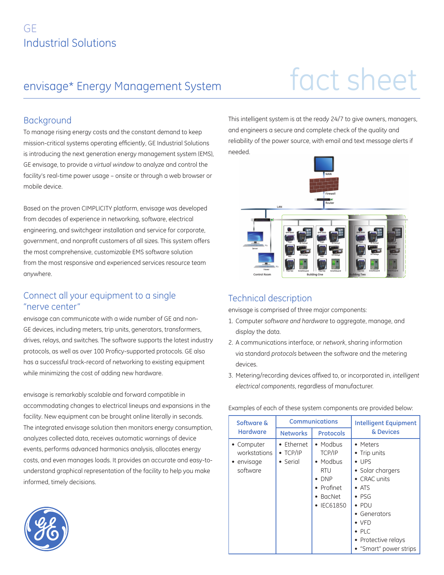## envisage\* Energy Management System

# fact sheet

### Background

To manage rising energy costs and the constant demand to keep mission-critical systems operating efficiently, GE Industrial Solutions is introducing the next generation energy management system (EMS), GE envisage, to provide a *virtual window* to analyze and control the facility's real-time power usage – onsite or through a web browser or mobile device.

Based on the proven CIMPLICITY platform, envisage was developed from decades of experience in networking, software, electrical engineering, and switchgear installation and service for corporate, government, and nonprofit customers of all sizes. This system offers the most comprehensive, customizable EMS software solution from the most responsive and experienced services resource team anywhere.

## Connect all your equipment to a single "nerve center"

envisage can communicate with a wide number of GE and non-GE devices, including meters, trip units, generators, transformers, drives, relays, and switches. The software supports the latest industry protocols, as well as over 100 Proficy-supported protocols. GE also has a successful track-record of networking to existing equipment while minimizing the cost of adding new hardware.

envisage is remarkably scalable and forward compatible in accommodating changes to electrical lineups and expansions in the facility. New equipment can be brought online literally in seconds. The integrated envisage solution then monitors energy consumption, analyzes collected data, receives automatic warnings of device events, performs advanced harmonics analysis, allocates energy costs, and even manages loads. It provides an accurate and easy-tounderstand graphical representation of the facility to help you make informed, timely decisions.

This intelligent system is at the ready 24/7 to give owners, managers, and engineers a secure and complete check of the quality and reliability of the power source, with email and text message alerts if needed.



## Technical description

envisage is comprised of three major components:

- 1. Computer *software and hardware* to aggregate, manage, and display the data.
- 2. A communications interface, or *network*, sharing information via standard *protocols* between the software and the metering devices.
- 3. Metering/recording devices affixed to, or incorporated in, *intelligent electrical components*, regardless of manufacturer.

Examples of each of these system components are provided below:

| Software &<br><b>Hardware</b>                        | <b>Communications</b>                      |                                                                                                                     | <b>Intelligent Equipment</b>                                                                                                                                                                                                         |
|------------------------------------------------------|--------------------------------------------|---------------------------------------------------------------------------------------------------------------------|--------------------------------------------------------------------------------------------------------------------------------------------------------------------------------------------------------------------------------------|
|                                                      | <b>Networks</b>                            | <b>Protocols</b>                                                                                                    | & Devices                                                                                                                                                                                                                            |
| • Computer<br>workstations<br>• envisage<br>software | • Fthernet<br>$\bullet$ TCP/IP<br>• Serial | $\bullet$ Modbus<br>TCP/IP<br>• Modbus<br><b>RTU</b><br>$\bullet$ DNP<br>• Profinet<br>BacNet<br>$\bullet$ IEC61850 | • Meters<br>• Trip units<br>$\bullet$ LIPS<br>• Solar chargers<br>• CRAC units<br>$\bullet$ ATS<br>$\bullet$ PSG<br>$\bullet$ PDU<br>• Generators<br>$\bullet$ VFD<br>$\bullet$ PIC<br>• Protective relays<br>• "Smart" power strips |